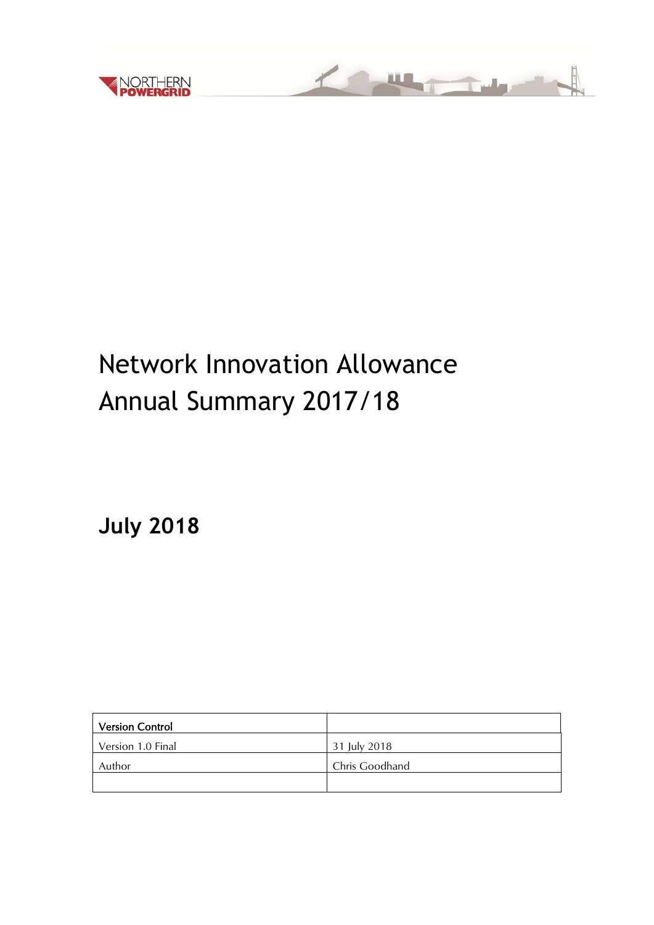



# Network Innovation Allowance Annual Summary 2017/18

**July 2018**

| <b>Version Control</b> |                |
|------------------------|----------------|
| Version 1.0 Final      | 31 July 2018   |
| Author                 | Chris Goodhand |
|                        |                |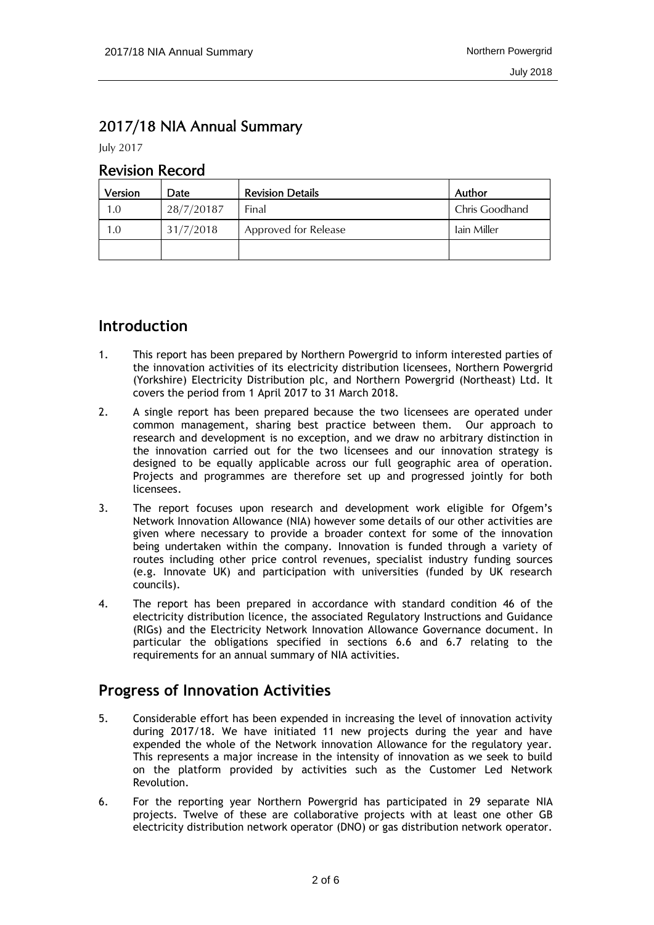## 2017/18 NIA Annual Summary

July 2017

#### Revision Record

| Version | Date       | <b>Revision Details</b> | Author         |
|---------|------------|-------------------------|----------------|
| 1.0     | 28/7/20187 | Final                   | Chris Goodhand |
|         | 31/7/2018  | Approved for Release    | Iain Miller    |
|         |            |                         |                |

## **Introduction**

- 1. This report has been prepared by Northern Powergrid to inform interested parties of the innovation activities of its electricity distribution licensees, Northern Powergrid (Yorkshire) Electricity Distribution plc, and Northern Powergrid (Northeast) Ltd. It covers the period from 1 April 2017 to 31 March 2018.
- 2. A single report has been prepared because the two licensees are operated under common management, sharing best practice between them. Our approach to research and development is no exception, and we draw no arbitrary distinction in the innovation carried out for the two licensees and our innovation strategy is designed to be equally applicable across our full geographic area of operation. Projects and programmes are therefore set up and progressed jointly for both licensees.
- 3. The report focuses upon research and development work eligible for Ofgem's Network Innovation Allowance (NIA) however some details of our other activities are given where necessary to provide a broader context for some of the innovation being undertaken within the company. Innovation is funded through a variety of routes including other price control revenues, specialist industry funding sources (e.g. Innovate UK) and participation with universities (funded by UK research councils).
- 4. The report has been prepared in accordance with standard condition 46 of the electricity distribution licence, the associated Regulatory Instructions and Guidance (RIGs) and the Electricity Network Innovation Allowance Governance document. In particular the obligations specified in sections 6.6 and 6.7 relating to the requirements for an annual summary of NIA activities.

#### **Progress of Innovation Activities**

- 5. Considerable effort has been expended in increasing the level of innovation activity during 2017/18. We have initiated 11 new projects during the year and have expended the whole of the Network innovation Allowance for the regulatory year. This represents a major increase in the intensity of innovation as we seek to build on the platform provided by activities such as the Customer Led Network Revolution.
- 6. For the reporting year Northern Powergrid has participated in 29 separate NIA projects. Twelve of these are collaborative projects with at least one other GB electricity distribution network operator (DNO) or gas distribution network operator.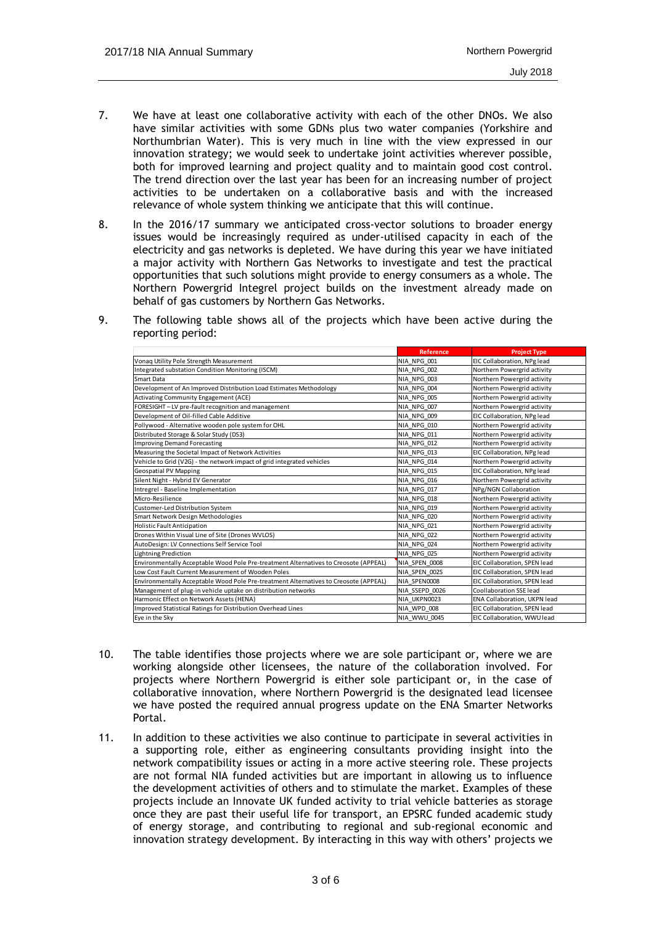- 7. We have at least one collaborative activity with each of the other DNOs. We also have similar activities with some GDNs plus two water companies (Yorkshire and Northumbrian Water). This is very much in line with the view expressed in our innovation strategy; we would seek to undertake joint activities wherever possible, both for improved learning and project quality and to maintain good cost control. The trend direction over the last year has been for an increasing number of project activities to be undertaken on a collaborative basis and with the increased relevance of whole system thinking we anticipate that this will continue.
- 8. In the 2016/17 summary we anticipated cross-vector solutions to broader energy issues would be increasingly required as under-utilised capacity in each of the electricity and gas networks is depleted. We have during this year we have initiated a major activity with Northern Gas Networks to investigate and test the practical opportunities that such solutions might provide to energy consumers as a whole. The Northern Powergrid Integrel project builds on the investment already made on behalf of gas customers by Northern Gas Networks.
- 9. The following table shows all of the projects which have been active during the reporting period:

|                                                                                      | <b>Reference</b> | <b>Project Type</b>          |
|--------------------------------------------------------------------------------------|------------------|------------------------------|
| Vonaq Utility Pole Strength Measurement                                              | NIA NPG 001      | EIC Collaboration, NPg lead  |
| Integrated substation Condition Monitoring (ISCM)                                    | NIA NPG 002      | Northern Powergrid activity  |
| <b>Smart Data</b>                                                                    | NIA NPG 003      | Northern Powergrid activity  |
| Development of An Improved Distribution Load Estimates Methodology                   | NIA NPG 004      | Northern Powergrid activity  |
| Activating Community Engagement (ACE)                                                | NIA NPG 005      | Northern Powergrid activity  |
| FORESIGHT-LV pre-fault recognition and management                                    | NIA NPG 007      | Northern Powergrid activity  |
| Development of Oil-filled Cable Additive                                             | NIA NPG 009      | EIC Collaboration, NPg lead  |
| Pollywood - Alternative wooden pole system for OHL                                   | NIA NPG 010      | Northern Powergrid activity  |
| Distributed Storage & Solar Study (DS3)                                              | NIA NPG 011      | Northern Powergrid activity  |
| <b>Improving Demand Forecasting</b>                                                  | NIA NPG 012      | Northern Powergrid activity  |
| Measuring the Societal Impact of Network Activities                                  | NIA NPG 013      | EIC Collaboration, NPg lead  |
| Vehicle to Grid (V2G) - the network impact of grid integrated vehicles               | NIA NPG 014      | Northern Powergrid activity  |
| Geospatial PV Mapping                                                                | NIA NPG 015      | EIC Collaboration, NPg lead  |
| Silent Night - Hybrid EV Generator                                                   | NIA NPG 016      | Northern Powergrid activity  |
| Intregrel - Baseline Implementation                                                  | NIA NPG 017      | NPg/NGN Collaboration        |
| Micro-Resilience                                                                     | NIA NPG 018      | Northern Powergrid activity  |
| Customer-Led Distribution System                                                     | NIA NPG 019      | Northern Powergrid activity  |
| Smart Network Design Methodologies                                                   | NIA NPG 020      | Northern Powergrid activity  |
| <b>Holistic Fault Anticipation</b>                                                   | NIA NPG 021      | Northern Powergrid activity  |
| Drones Within Visual Line of Site (Drones WVLOS)                                     | NIA NPG 022      | Northern Powergrid activity  |
| AutoDesign: LV Connections Self Service Tool                                         | NIA NPG 024      | Northern Powergrid activity  |
| <b>Lightning Prediction</b>                                                          | NIA NPG 025      | Northern Powergrid activity  |
| Environmentally Acceptable Wood Pole Pre-treatment Alternatives to Creosote (APPEAL) | NIA SPEN 0008    | EIC Collaboration, SPEN lead |
| Low Cost Fault Current Measurement of Wooden Poles                                   | NIA SPEN 0025    | EIC Collaboration, SPEN lead |
| Environmentally Acceptable Wood Pole Pre-treatment Alternatives to Creosote (APPEAL) | NIA SPEN0008     | EIC Collaboration, SPEN lead |
| Management of plug-in vehicle uptake on distribution networks                        | NIA SSEPD 0026   | Coollaboration SSE lead      |
| Harmonic Effect on Network Assets (HENA)                                             | NIA UKPN0023     | ENA Collaboration, UKPN lead |
| Improved Statistical Ratings for Distribution Overhead Lines                         | NIA WPD 008      | EIC Collaboration, SPEN lead |
| Eye in the Sky                                                                       | NIA WWU 0045     | EIC Collaboration, WWU lead  |

- 10. The table identifies those projects where we are sole participant or, where we are working alongside other licensees, the nature of the collaboration involved. For projects where Northern Powergrid is either sole participant or, in the case of collaborative innovation, where Northern Powergrid is the designated lead licensee we have posted the required annual progress update on the ENA Smarter Networks Portal.
- 11. In addition to these activities we also continue to participate in several activities in a supporting role, either as engineering consultants providing insight into the network compatibility issues or acting in a more active steering role. These projects are not formal NIA funded activities but are important in allowing us to influence the development activities of others and to stimulate the market. Examples of these projects include an Innovate UK funded activity to trial vehicle batteries as storage once they are past their useful life for transport, an EPSRC funded academic study of energy storage, and contributing to regional and sub-regional economic and innovation strategy development. By interacting in this way with others' projects we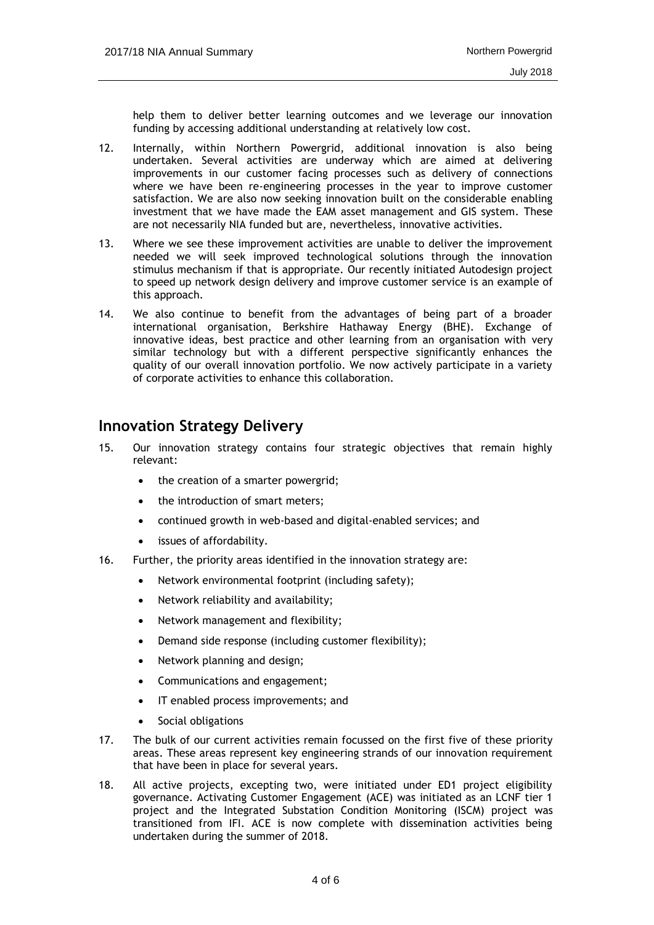help them to deliver better learning outcomes and we leverage our innovation funding by accessing additional understanding at relatively low cost.

- 12. Internally, within Northern Powergrid, additional innovation is also being undertaken. Several activities are underway which are aimed at delivering improvements in our customer facing processes such as delivery of connections where we have been re-engineering processes in the year to improve customer satisfaction. We are also now seeking innovation built on the considerable enabling investment that we have made the EAM asset management and GIS system. These are not necessarily NIA funded but are, nevertheless, innovative activities.
- 13. Where we see these improvement activities are unable to deliver the improvement needed we will seek improved technological solutions through the innovation stimulus mechanism if that is appropriate. Our recently initiated Autodesign project to speed up network design delivery and improve customer service is an example of this approach.
- 14. We also continue to benefit from the advantages of being part of a broader international organisation, Berkshire Hathaway Energy (BHE). Exchange of innovative ideas, best practice and other learning from an organisation with very similar technology but with a different perspective significantly enhances the quality of our overall innovation portfolio. We now actively participate in a variety of corporate activities to enhance this collaboration.

#### **Innovation Strategy Delivery**

- 15. Our innovation strategy contains four strategic objectives that remain highly relevant:
	- the creation of a smarter powergrid;
	- the introduction of smart meters:
	- continued growth in web-based and digital-enabled services; and
	- issues of affordability.
- 16. Further, the priority areas identified in the innovation strategy are:
	- Network environmental footprint (including safety);
	- Network reliability and availability;
	- Network management and flexibility;
	- Demand side response (including customer flexibility);
	- Network planning and design;
	- Communications and engagement;
	- IT enabled process improvements; and
	- Social obligations
- 17. The bulk of our current activities remain focussed on the first five of these priority areas. These areas represent key engineering strands of our innovation requirement that have been in place for several years.
- 18. All active projects, excepting two, were initiated under ED1 project eligibility governance. Activating Customer Engagement (ACE) was initiated as an LCNF tier 1 project and the Integrated Substation Condition Monitoring (ISCM) project was transitioned from IFI. ACE is now complete with dissemination activities being undertaken during the summer of 2018.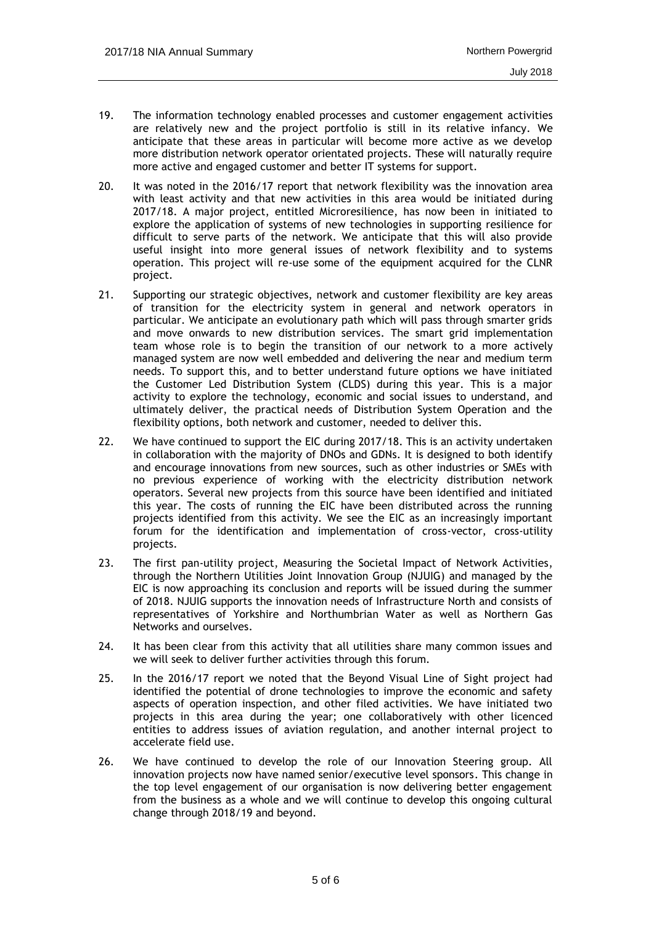- 19. The information technology enabled processes and customer engagement activities are relatively new and the project portfolio is still in its relative infancy. We anticipate that these areas in particular will become more active as we develop more distribution network operator orientated projects. These will naturally require more active and engaged customer and better IT systems for support.
- 20. It was noted in the 2016/17 report that network flexibility was the innovation area with least activity and that new activities in this area would be initiated during 2017/18. A major project, entitled Microresilience, has now been in initiated to explore the application of systems of new technologies in supporting resilience for difficult to serve parts of the network. We anticipate that this will also provide useful insight into more general issues of network flexibility and to systems operation. This project will re-use some of the equipment acquired for the CLNR project.
- 21. Supporting our strategic objectives, network and customer flexibility are key areas of transition for the electricity system in general and network operators in particular. We anticipate an evolutionary path which will pass through smarter grids and move onwards to new distribution services. The smart grid implementation team whose role is to begin the transition of our network to a more actively managed system are now well embedded and delivering the near and medium term needs. To support this, and to better understand future options we have initiated the Customer Led Distribution System (CLDS) during this year. This is a major activity to explore the technology, economic and social issues to understand, and ultimately deliver, the practical needs of Distribution System Operation and the flexibility options, both network and customer, needed to deliver this.
- 22. We have continued to support the EIC during 2017/18. This is an activity undertaken in collaboration with the majority of DNOs and GDNs. It is designed to both identify and encourage innovations from new sources, such as other industries or SMEs with no previous experience of working with the electricity distribution network operators. Several new projects from this source have been identified and initiated this year. The costs of running the EIC have been distributed across the running projects identified from this activity. We see the EIC as an increasingly important forum for the identification and implementation of cross-vector, cross-utility projects.
- 23. The first pan-utility project, Measuring the Societal Impact of Network Activities, through the Northern Utilities Joint Innovation Group (NJUIG) and managed by the EIC is now approaching its conclusion and reports will be issued during the summer of 2018. NJUIG supports the innovation needs of Infrastructure North and consists of representatives of Yorkshire and Northumbrian Water as well as Northern Gas Networks and ourselves.
- 24. It has been clear from this activity that all utilities share many common issues and we will seek to deliver further activities through this forum.
- 25. In the 2016/17 report we noted that the Beyond Visual Line of Sight project had identified the potential of drone technologies to improve the economic and safety aspects of operation inspection, and other filed activities. We have initiated two projects in this area during the year; one collaboratively with other licenced entities to address issues of aviation regulation, and another internal project to accelerate field use.
- 26. We have continued to develop the role of our Innovation Steering group. All innovation projects now have named senior/executive level sponsors. This change in the top level engagement of our organisation is now delivering better engagement from the business as a whole and we will continue to develop this ongoing cultural change through 2018/19 and beyond.